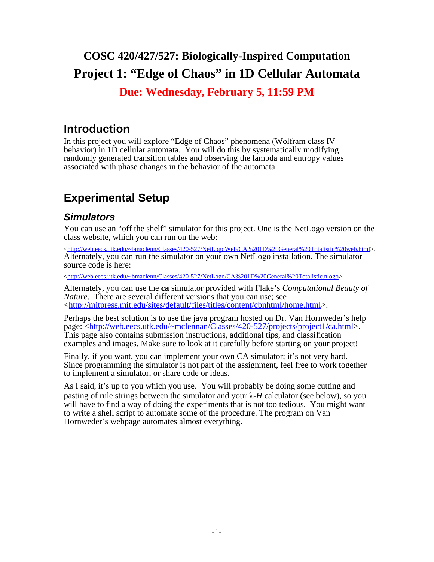# **COSC 420/427/527: Biologically-Inspired Computation Project 1: "Edge of Chaos" in 1D Cellular Automata**

### **Due: Wednesday, February 5, 11:59 PM**

## **Introduction**

In this project you will explore "Edge of Chaos" phenomena (Wolfram class IV behavior) in 1D cellular automata. You will do this by systematically modifying randomly generated transition tables and observing the lambda and entropy values associated with phase changes in the behavior of the automata.

# **Experimental Setup**

### **Simulators**

You can use an "off the shelf" simulator for this project. One is the NetLogo version on the class website, which you can run on the web:

[<http://web.eecs.utk.edu/~bmaclenn/Classes/420-527/NetLogoWeb/CA%201D%20General%20Totalistic%20web.html>](http://web.eecs.utk.edu/~bmaclenn/Classes/420-527/NetLogoWeb/CA%201D%20General%20Totalistic%20web.html). Alternately, you can run the simulator on your own NetLogo installation. The simulator source code is here:

[<http://web.eecs.utk.edu/~bmaclenn/Classes/420-527/NetLogo/CA%201D%20General%20Totalistic.nlogo>](http://web.eecs.utk.edu/~bmaclenn/Classes/420-527/NetLogo/CA%201D%20General%20Totalistic.nlogo).

Alternately, you can use the **ca** simulator provided with Flake's *Computational Beauty of Nature*. There are several different versions that you can use; see [<http://mitpress.mit.edu/sites/default/files/titles/content/cbnhtml/home.html>](http://mitpress.mit.edu/sites/default/files/titles/content/cbnhtml/home.html).

Perhaps the best solution is to use the java program hosted on Dr. Van Hornweder's help page: [<http://web.eecs.utk.edu/~mclennan/Classes/420-527/projects/project1/ca.html>](http://web.eecs.utk.edu/~mclennan/Classes/420-527/projects/project1/ca.html). This page also contains submission instructions, additional tips, and classification examples and images. Make sure to look at it carefully before starting on your project!

Finally, if you want, you can implement your own CA simulator; it's not very hard. Since programming the simulator is not part of the assignment, feel free to work together to implement a simulator, or share code or ideas.

As I said, it's up to you which you use. You will probably be doing some cutting and pasting of rule strings between the simulator and your  $\lambda$ -*H* calculator (see below), so you will have to find a way of doing the experiments that is not too tedious. You might want to write a shell script to automate some of the procedure. The program on Van Hornweder's webpage automates almost everything.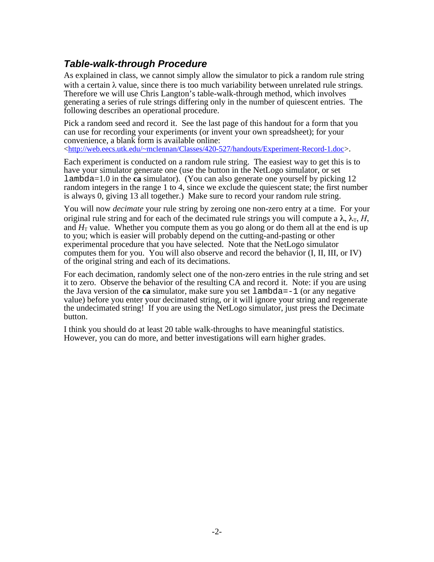### **Table-walk-through Procedure**

As explained in class, we cannot simply allow the simulator to pick a random rule string with a certain  $\lambda$  value, since there is too much variability between unrelated rule strings. Therefore we will use Chris Langton's table-walk-through method, which involves generating a series of rule strings differing only in the number of quiescent entries. The following describes an operational procedure.

Pick a random seed and record it. See the last page of this handout for a form that you can use for recording your experiments (or invent your own spreadsheet); for your convenience, a blank form is available online: [<http://web.eecs.utk.edu/~mclennan/Classes/420-527/handouts/Experiment-Record-1.doc>](http://web.eecs.utk.edu/~mclennan/Classes/420-527/handouts/Experiment-Record-1.doc).

Each experiment is conducted on a random rule string. The easiest way to get this is to have your simulator generate one (use the button in the NetLogo simulator, or set lambda=1.0 in the **ca** simulator). (You can also generate one yourself by picking 12 random integers in the range 1 to 4, since we exclude the quiescent state; the first number is always 0, giving 13 all together.) Make sure to record your random rule string.

You will now *decimate* your rule string by zeroing one non-zero entry at a time. For your original rule string and for each of the decimated rule strings you will compute a  $\lambda$ ,  $\lambda$ <sub>T</sub>, *H*, and  $H<sub>T</sub>$  value. Whether you compute them as you go along or do them all at the end is up to you; which is easier will probably depend on the cutting-and-pasting or other experimental procedure that you have selected. Note that the NetLogo simulator computes them for you. You will also observe and record the behavior (I, II, III, or IV) of the original string and each of its decimations.

For each decimation, randomly select one of the non-zero entries in the rule string and set it to zero. Observe the behavior of the resulting CA and record it. Note: if you are using the Java version of the **ca** simulator, make sure you set  $l$  ambda =  $-1$  (or any negative value) before you enter your decimated string, or it will ignore your string and regenerate the undecimated string! If you are using the NetLogo simulator, just press the Decimate button.

I think you should do at least 20 table walk-throughs to have meaningful statistics. However, you can do more, and better investigations will earn higher grades.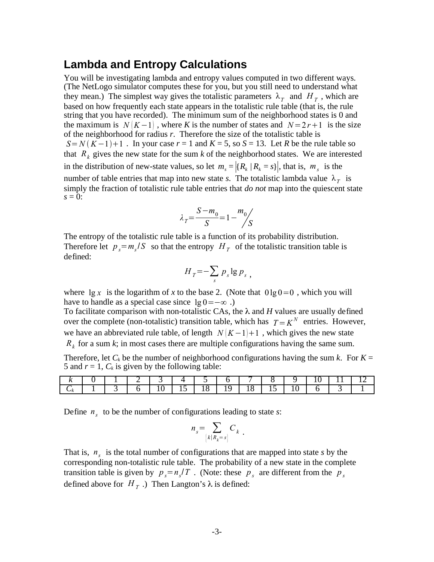#### **Lambda and Entropy Calculations**

You will be investigating lambda and entropy values computed in two different ways. (The NetLogo simulator computes these for you, but you still need to understand what they mean.) The simplest way gives the totalistic parameters  $\lambda_T$  and  $H_T$ , which are based on how frequently each state appears in the totalistic rule table (that is, the rule string that you have recorded). The minimum sum of the neighborhood states is 0 and the maximum is  $N(K-1)$ , where K is the number of states and  $N=2r+1$  is the size of the neighborhood for radius *r*. Therefore the size of the totalistic table is  $S = N(K-1)+1$ . In your case  $r = 1$  and  $K = 5$ , so  $S = 13$ . Let *R* be the rule table so that  $R_k$  gives the new state for the sum  $k$  of the neighborhood states. We are interested in the distribution of new-state values, so let  $m_s = |{R_k | R_k = s}|$ , that is,  $m_s$  is the number of table entries that map into new state *s*. The totalistic lambda value  $\lambda_T$  is simply the fraction of totalistic rule table entries that *do not* map into the quiescent state  $s = 0$ :

$$
\lambda_T = \frac{S - m_0}{S} = 1 - \frac{m_0}{S}
$$

The entropy of the totalistic rule table is a function of its probability distribution. Therefore let  $p_s = m_s / S$  so that the entropy  $H_T$  of the totalistic transition table is defined:

$$
H_T = -\sum_s p_s \lg p_s ,
$$

where  $\lg x$  is the logarithm of *x* to the base 2. (Note that  $0 \lg 0 = 0$ , which you will have to handle as a special case since  $\lg 0 = -\infty$ .)

To facilitate comparison with non-totalistic CAs, the  $\lambda$  and H values are usually defined over the complete (non-totalistic) transition table, which has  $T = K^N$  entries. However, we have an abbreviated rule table, of length  $N(K-1)+1$ , which gives the new state *Rk* for a sum *k*; in most cases there are multiple configurations having the same sum.

Therefore, let  $C_k$  be the number of neighborhood configurations having the sum *k*. For  $K =$ 5 and  $r = 1$ ,  $C_k$  is given by the following table:

| . .<br>$\sim$ |  |  | . . | ∼<br>. . |  |  |  |
|---------------|--|--|-----|----------|--|--|--|

Define  $n<sub>s</sub>$  to be the number of configurations leading to state *s*:

$$
n_s = \sum_{\{k \mid R_k = s\}} C_k.
$$

That is, *n<sup>s</sup>* is the total number of configurations that are mapped into state *s* by the corresponding non-totalistic rule table. The probability of a new state in the complete transition table is given by  $p_s = n_s/T$ . (Note: these  $p_s$  are different from the  $p_s$ defined above for  $H_T$ .) Then Langton's  $\lambda$  is defined: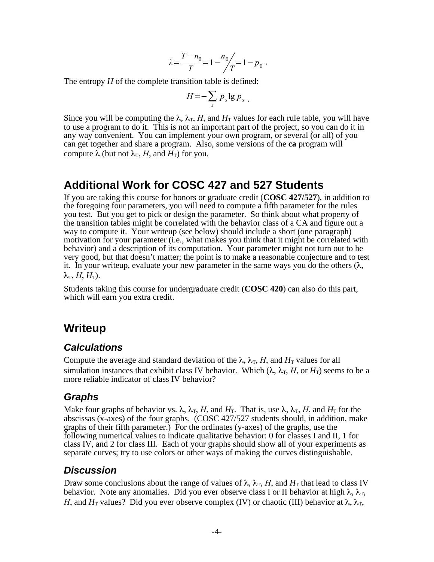$$
\lambda = \frac{T - n_0}{T} = 1 - \frac{n_0}{T} = 1 - p_0.
$$

The entropy *H* of the complete transition table is defined:

$$
H = -\sum_{s} p_s \lg p_s \; .
$$

Since you will be computing the  $\lambda$ ,  $\lambda$ <sub>T</sub>, *H*, and *H*<sub>T</sub> values for each rule table, you will have to use a program to do it. This is not an important part of the project, so you can do it in any way convenient. You can implement your own program, or several (or all) of you can get together and share a program. Also, some versions of the **ca** program will compute  $\lambda$  (but not  $\lambda$ <sub>T</sub>, *H*, and *H*<sub>T</sub>) for you.

### **Additional Work for COSC 427 and 527 Students**

If you are taking this course for honors or graduate credit (**COSC 427/527**), in addition to the foregoing four parameters, you will need to compute a fifth parameter for the rules you test. But you get to pick or design the parameter. So think about what property of the transition tables might be correlated with the behavior class of a CA and figure out a way to compute it. Your writeup (see below) should include a short (one paragraph) motivation for your parameter (i.e., what makes you think that it might be correlated with behavior) and a description of its computation. Your parameter might not turn out to be very good, but that doesn't matter; the point is to make a reasonable conjecture and to test it. In your writeup, evaluate your new parameter in the same ways you do the others  $(\lambda, \lambda)$  $\lambda_{\text{T}}$ , *H*, *H*<sub>T</sub>).

Students taking this course for undergraduate credit (**COSC 420**) can also do this part, which will earn you extra credit.

## **Writeup**

#### **Calculations**

Compute the average and standard deviation of the  $\lambda$ ,  $\lambda$ <sub>T</sub>, *H*, and *H*<sub>T</sub> values for all simulation instances that exhibit class IV behavior. Which  $(\lambda, \lambda_T, H, \text{or } H_T)$  seems to be a more reliable indicator of class IV behavior?

### **Graphs**

Make four graphs of behavior vs.  $\lambda$ ,  $\lambda$ <sub>T</sub>, *H*, and *H*<sub>T</sub>. That is, use  $\lambda$ ,  $\lambda$ <sub>T</sub>, *H*, and *H*<sub>T</sub> for the abscissas (x-axes) of the four graphs. (COSC 427/527 students should, in addition, make graphs of their fifth parameter.) For the ordinates (y-axes) of the graphs, use the following numerical values to indicate qualitative behavior: 0 for classes I and II, 1 for class IV, and 2 for class III. Each of your graphs should show all of your experiments as separate curves; try to use colors or other ways of making the curves distinguishable.

#### **Discussion**

Draw some conclusions about the range of values of  $\lambda$ ,  $\lambda$ <sub>T</sub>, *H*, and *H*<sub>T</sub> that lead to class IV behavior. Note any anomalies. Did you ever observe class I or II behavior at high  $\lambda$ ,  $\lambda$ <sub>T</sub>, *H*, and  $H_T$  values? Did you ever observe complex (IV) or chaotic (III) behavior at  $\lambda$ ,  $\lambda_T$ ,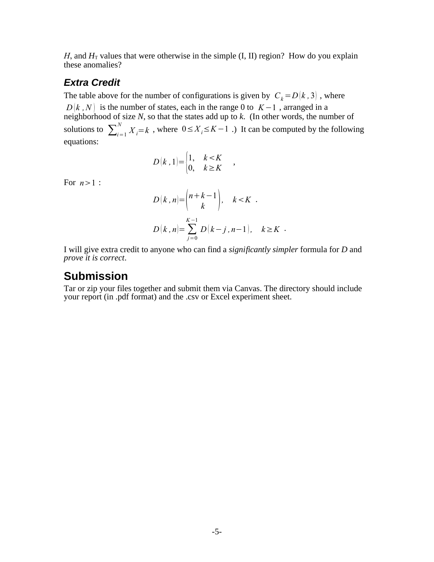*H*, and  $H_T$  values that were otherwise in the simple (I, II) region? How do you explain these anomalies?

#### **Extra Credit**

The table above for the number of configurations is given by  $C_k = D(k, 3)$ , where  $D[k, N]$  is the number of states, each in the range 0 to  $K-1$ , arranged in a neighborhood of size *N*, so that the states add up to *k*. (In other words, the number of solutions to  $\sum_{i=1}^{N} X_i = k$ , where  $0 \le X_i \le K - 1$ .) It can be computed by the following equations:

$$
D(k, 1) = \begin{cases} 1, & k < K \\ 0, & k \ge K \end{cases}
$$

For  $n>1$  :

$$
D(k, n) = {n+k-1 \choose k}, \quad k < K.
$$
  

$$
D(k, n) = \sum_{j=0}^{K-1} D(k-j, n-1), \quad k \ge K.
$$

,

I will give extra credit to anyone who can find a *significantly simpler* formula for *D* and *prove it is correct*.

### **Submission**

Tar or zip your files together and submit them via Canvas. The directory should include your report (in .pdf format) and the .csv or Excel experiment sheet.